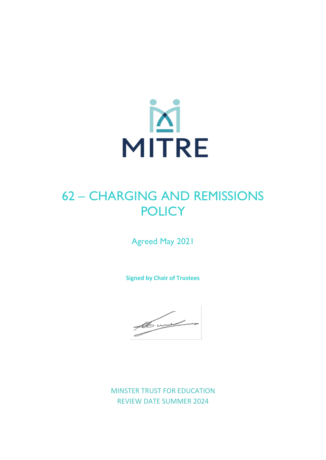

# 62 – CHARGING AND REMISSIONS **POLICY**

Agreed May 2021

**Signed by Chair of Trustees**

the world in

MINSTER TRUST FOR EDUCATION REVIEW DATE SUMMER 2024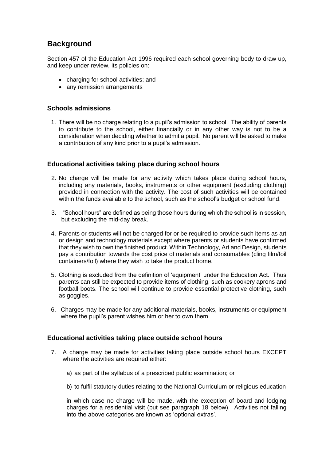# **Background**

Section 457 of the Education Act 1996 required each school governing body to draw up, and keep under review, its policies on:

- charging for school activities; and
- any remission arrangements

## **Schools admissions**

1. There will be no charge relating to a pupil's admission to school. The ability of parents to contribute to the school, either financially or in any other way is not to be a consideration when deciding whether to admit a pupil. No parent will be asked to make a contribution of any kind prior to a pupil's admission.

# **Educational activities taking place during school hours**

- 2. No charge will be made for any activity which takes place during school hours, including any materials, books, instruments or other equipment (excluding clothing) provided in connection with the activity. The cost of such activities will be contained within the funds available to the school, such as the school's budget or school fund.
- 3. "School hours" are defined as being those hours during which the school is in session, but excluding the mid-day break.
- 4. Parents or students will not be charged for or be required to provide such items as art or design and technology materials except where parents or students have confirmed that they wish to own the finished product. Within Technology, Art and Design, students pay a contribution towards the cost price of materials and consumables (cling film/foil containers/foil) where they wish to take the product home.
- 5. Clothing is excluded from the definition of 'equipment' under the Education Act. Thus parents can still be expected to provide items of clothing, such as cookery aprons and football boots. The school will continue to provide essential protective clothing, such as goggles.
- 6. Charges may be made for any additional materials, books, instruments or equipment where the pupil's parent wishes him or her to own them.

#### **Educational activities taking place outside school hours**

- 7. A charge may be made for activities taking place outside school hours EXCEPT where the activities are required either:
	- a) as part of the syllabus of a prescribed public examination; or
	- b) to fulfil statutory duties relating to the National Curriculum or religious education

in which case no charge will be made, with the exception of board and lodging charges for a residential visit (but see paragraph 18 below). Activities not falling into the above categories are known as 'optional extras'.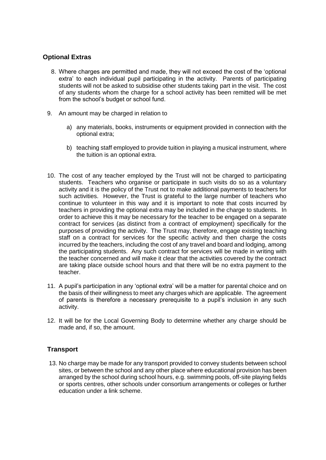# **Optional Extras**

- 8. Where charges are permitted and made, they will not exceed the cost of the 'optional extra' to each individual pupil participating in the activity. Parents of participating students will not be asked to subsidise other students taking part in the visit. The cost of any students whom the charge for a school activity has been remitted will be met from the school's budget or school fund.
- 9. An amount may be charged in relation to
	- a) any materials, books, instruments or equipment provided in connection with the optional extra;
	- b) teaching staff employed to provide tuition in playing a musical instrument, where the tuition is an optional extra.
- 10. The cost of any teacher employed by the Trust will not be charged to participating students. Teachers who organise or participate in such visits do so as a voluntary activity and it is the policy of the Trust not to make additional payments to teachers for such activities. However, the Trust is grateful to the large number of teachers who continue to volunteer in this way and it is important to note that costs incurred by teachers in providing the optional extra may be included in the charge to students. In order to achieve this it may be necessary for the teacher to be engaged on a separate contract for services (as distinct from a contract of employment) specifically for the purposes of providing the activity. The Trust may, therefore, engage existing teaching staff on a contract for services for the specific activity and then charge the costs incurred by the teachers, including the cost of any travel and board and lodging, among the participating students. Any such contract for services will be made in writing with the teacher concerned and will make it clear that the activities covered by the contract are taking place outside school hours and that there will be no extra payment to the teacher.
- 11. A pupil's participation in any 'optional extra' will be a matter for parental choice and on the basis of their willingness to meet any charges which are applicable. The agreement of parents is therefore a necessary prerequisite to a pupil's inclusion in any such activity.
- 12. It will be for the Local Governing Body to determine whether any charge should be made and, if so, the amount.

# **Transport**

13. No charge may be made for any transport provided to convey students between school sites, or between the school and any other place where educational provision has been arranged by the school during school hours, e.g. swimming pools, off-site playing fields or sports centres, other schools under consortium arrangements or colleges or further education under a link scheme.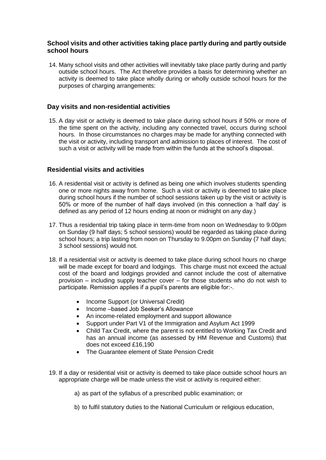## **School visits and other activities taking place partly during and partly outside school hours**

14. Many school visits and other activities will inevitably take place partly during and partly outside school hours. The Act therefore provides a basis for determining whether an activity is deemed to take place wholly during or wholly outside school hours for the purposes of charging arrangements:

## **Day visits and non-residential activities**

15. A day visit or activity is deemed to take place during school hours if 50% or more of the time spent on the activity, including any connected travel, occurs during school hours. In those circumstances no charges may be made for anything connected with the visit or activity, including transport and admission to places of interest. The cost of such a visit or activity will be made from within the funds at the school's disposal.

# **Residential visits and activities**

- 16. A residential visit or activity is defined as being one which involves students spending one or more nights away from home. Such a visit or activity is deemed to take place during school hours if the number of school sessions taken up by the visit or activity is 50% or more of the number of half days involved (in this connection a 'half day' is defined as any period of 12 hours ending at noon or midnight on any day.)
- 17. Thus a residential trip taking place in term-time from noon on Wednesday to 9.00pm on Sunday (9 half days; 5 school sessions) would be regarded as taking place during school hours; a trip lasting from noon on Thursday to 9.00pm on Sunday (7 half days; 3 school sessions) would not.
- 18. If a residential visit or activity is deemed to take place during school hours no charge will be made except for board and lodgings. This charge must not exceed the actual cost of the board and lodgings provided and cannot include the cost of alternative provision – including supply teacher cover – for those students who do not wish to participate. Remission applies if a pupil's parents are eligible for:-.
	- Income Support (or Universal Credit)
	- Income –based Job Seeker's Allowance
	- An income-related employment and support allowance
	- Support under Part V1 of the Immigration and Asylum Act 1999
	- Child Tax Credit, where the parent is not entitled to Working Tax Credit and has an annual income (as assessed by HM Revenue and Customs) that does not exceed £16,190
	- The Guarantee element of State Pension Credit
- 19. If a day or residential visit or activity is deemed to take place outside school hours an appropriate charge will be made unless the visit or activity is required either:
	- a) as part of the syllabus of a prescribed public examination; or
	- b) to fulfil statutory duties to the National Curriculum or religious education,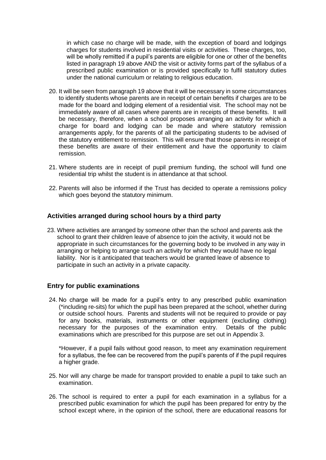in which case no charge will be made, with the exception of board and lodgings charges for students involved in residential visits or activities. These charges, too, will be wholly remitted if a pupil's parents are eligible for one or other of the benefits listed in paragraph 19 above AND the visit or activity forms part of the syllabus of a prescribed public examination or is provided specifically to fulfil statutory duties under the national curriculum or relating to religious education.

- 20. It will be seen from paragraph 19 above that it will be necessary in some circumstances to identify students whose parents are in receipt of certain benefits if charges are to be made for the board and lodging element of a residential visit. The school may not be immediately aware of all cases where parents are in receipts of these benefits. It will be necessary, therefore, when a school proposes arranging an activity for which a charge for board and lodging can be made and where statutory remission arrangements apply, for the parents of all the participating students to be advised of the statutory entitlement to remission. This will ensure that those parents in receipt of these benefits are aware of their entitlement and have the opportunity to claim remission.
- 21. Where students are in receipt of pupil premium funding, the school will fund one residential trip whilst the student is in attendance at that school.
- 22. Parents will also be informed if the Trust has decided to operate a remissions policy which goes beyond the statutory minimum.

#### **Activities arranged during school hours by a third party**

23. Where activities are arranged by someone other than the school and parents ask the school to grant their children leave of absence to join the activity, it would not be appropriate in such circumstances for the governing body to be involved in any way in arranging or helping to arrange such an activity for which they would have no legal liability. Nor is it anticipated that teachers would be granted leave of absence to participate in such an activity in a private capacity.

#### **Entry for public examinations**

24. No charge will be made for a pupil's entry to any prescribed public examination (\*including re-sits) for which the pupil has been prepared at the school, whether during or outside school hours. Parents and students will not be required to provide or pay for any books, materials, instruments or other equipment (excluding clothing) necessary for the purposes of the examination entry. Details of the public examinations which are prescribed for this purpose are set out in Appendix 3.

\*However, if a pupil fails without good reason, to meet any examination requirement for a syllabus, the fee can be recovered from the pupil's parents of if the pupil requires a higher grade.

- 25. Nor will any charge be made for transport provided to enable a pupil to take such an examination.
- 26. The school is required to enter a pupil for each examination in a syllabus for a prescribed public examination for which the pupil has been prepared for entry by the school except where, in the opinion of the school, there are educational reasons for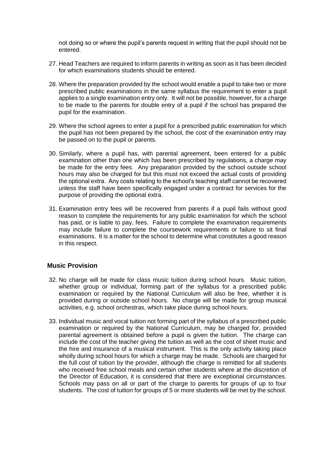not doing so or where the pupil's parents request in writing that the pupil should not be entered.

- 27. Head Teachers are required to inform parents in writing as soon as it has been decided for which examinations students should be entered.
- 28. Where the preparation provided by the school would enable a pupil to take two or more prescribed public examinations in the same syllabus the requirement to enter a pupil applies to a single examination entry only. It will not be possible, however, for a charge to be made to the parents for double entry of a pupil if the school has prepared the pupil for the examination.
- 29. Where the school agrees to enter a pupil for a prescribed public examination for which the pupil has not been prepared by the school, the cost of the examination entry may be passed on to the pupil or parents.
- 30. Similarly, where a pupil has, with parental agreement, been entered for a public examination other than one which has been prescribed by regulations, a charge may be made for the entry fees. Any preparation provided by the school outside school hours may also be charged for but this must not exceed the actual costs of providing the optional extra. Any costs relating to the school's teaching staff cannot be recovered unless the staff have been specifically engaged under a contract for services for the purpose of providing the optional extra.
- 31. Examination entry fees will be recovered from parents if a pupil fails without good reason to complete the requirements for any public examination for which the school has paid, or is liable to pay, fees. Failure to complete the examination requirements may include failure to complete the coursework requirements or failure to sit final examinations. It is a matter for the school to determine what constitutes a good reason in this respect.

#### **Music Provision**

- 32. No charge will be made for class music tuition during school hours. Music tuition, whether group or individual, forming part of the syllabus for a prescribed public examination or required by the National Curriculum will also be free, whether it is provided during or outside school hours. No charge will be made for group musical activities, e.g. school orchestras, which take place during school hours.
- 33. Individual music and vocal tuition not forming part of the syllabus of a prescribed public examination or required by the National Curriculum, may be charged for, provided parental agreement is obtained before a pupil is given the tuition. The charge can include the cost of the teacher giving the tuition as well as the cost of sheet music and the hire and insurance of a musical instrument. This is the only activity taking place wholly during school hours for which a charge may be made. Schools are charged for the full cost of tuition by the provider, although the charge is remitted for all students who received free school meals and certain other students where at the discretion of the Director of Education, it is considered that there are exceptional circumstances. Schools may pass on all or part of the charge to parents for groups of up to four students. The cost of tuition for groups of 5 or more students will be met by the school.